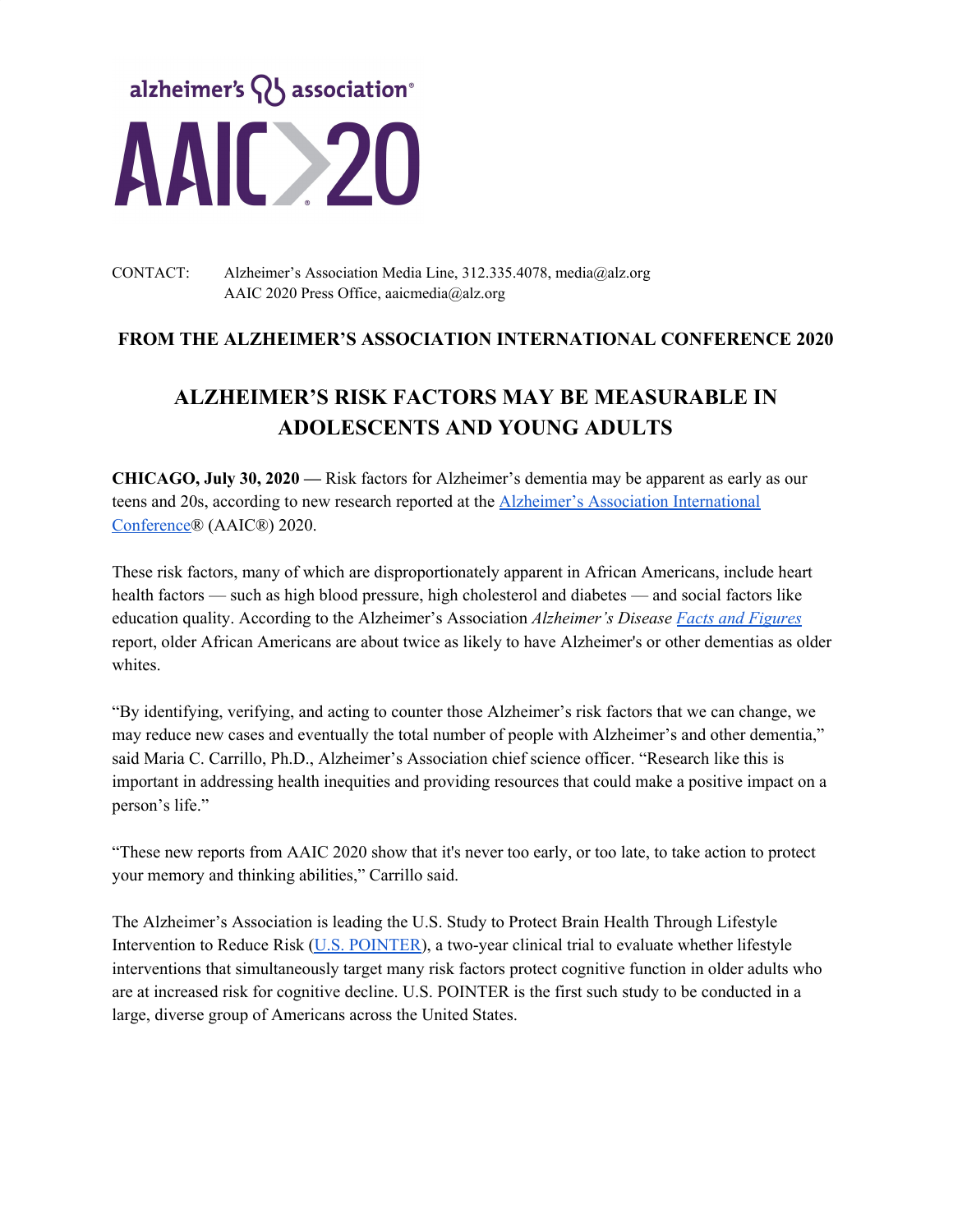

### CONTACT: Alzheimer's Association Media Line, 312.335.4078, media@alz.org AAIC 2020 Press Office, aaicmedia@alz.org

# **FROM THE ALZHEIMER'S ASSOCIATION INTERNATIONAL CONFERENCE 2020**

# **ALZHEIMER'S RISK FACTORS MAY BE MEASURABLE IN ADOLESCENTS AND YOUNG ADULTS**

**CHICAGO, July 30, 2020 —** Risk factors for Alzheimer's dementia may be apparent as early as our teens and 20s, according to new research reported at the Alzheimer's Association [International](https://www.alz.org/aaic) [Conference®](https://www.alz.org/aaic) (AAIC®) 2020.

These risk factors, many of which are disproportionately apparent in African Americans, include heart health factors — such as high blood pressure, high cholesterol and diabetes — and social factors like education quality. According to the Alzheimer's Association *Alzheimer's Disease Facts and [Figures](https://www.alz.org/alzheimers-dementia/facts-figures)* report, older African Americans are about twice as likely to have Alzheimer's or other dementias as older whites.

"By identifying, verifying, and acting to counter those Alzheimer's risk factors that we can change, we may reduce new cases and eventually the total number of people with Alzheimer's and other dementia," said Maria C. Carrillo, Ph.D., Alzheimer's Association chief science officer. "Research like this is important in addressing health inequities and providing resources that could make a positive impact on a person's life."

"These new reports from AAIC 2020 show that it's never too early, or too late, to take action to protect your memory and thinking abilities," Carrillo said.

The Alzheimer's Association is leading the U.S. Study to Protect Brain Health Through Lifestyle Intervention to Reduce Risk (U.S. [POINTER\)](https://alz.org/us-pointer/overview.asp), a two-year clinical trial to evaluate whether lifestyle interventions that simultaneously target many risk factors protect cognitive function in older adults who are at increased risk for cognitive decline. U.S. POINTER is the first such study to be conducted in a large, diverse group of Americans across the United States.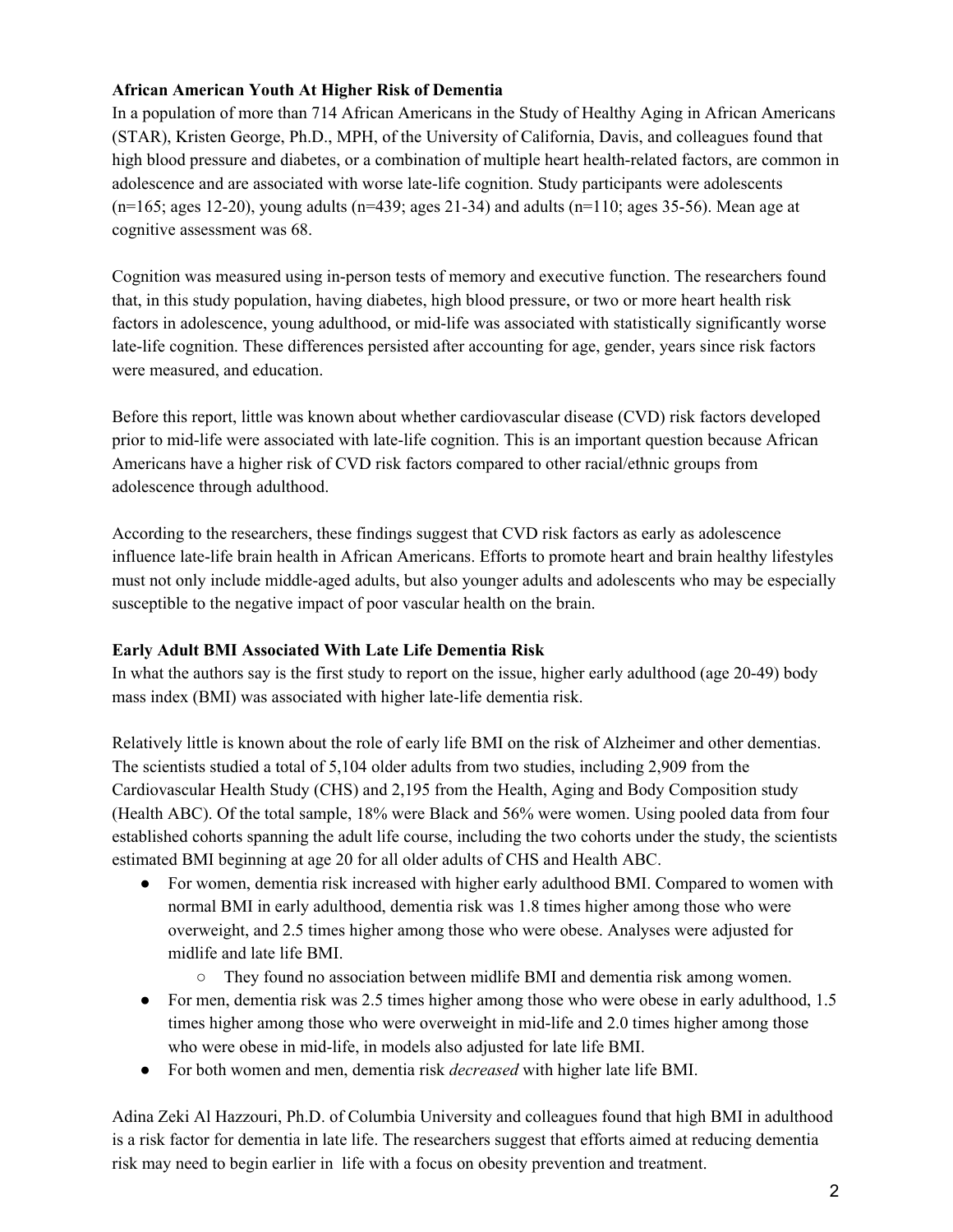## **African American Youth At Higher Risk of Dementia**

In a population of more than 714 African Americans in the Study of Healthy Aging in African Americans (STAR), Kristen George, Ph.D., MPH, of the University of California, Davis, and colleagues found that high blood pressure and diabetes, or a combination of multiple heart health-related factors, are common in adolescence and are associated with worse late-life cognition. Study participants were adolescents  $(n=165; \text{ ages } 12-20)$ , young adults  $(n=439; \text{ ages } 21-34)$  and adults  $(n=110; \text{ ages } 35-56)$ . Mean age at cognitive assessment was 68.

Cognition was measured using in-person tests of memory and executive function. The researchers found that, in this study population, having diabetes, high blood pressure, or two or more heart health risk factors in adolescence, young adulthood, or mid-life was associated with statistically significantly worse late-life cognition. These differences persisted after accounting for age, gender, years since risk factors were measured, and education.

Before this report, little was known about whether cardiovascular disease (CVD) risk factors developed prior to mid-life were associated with late-life cognition. This is an important question because African Americans have a higher risk of CVD risk factors compared to other racial/ethnic groups from adolescence through adulthood.

According to the researchers, these findings suggest that CVD risk factors as early as adolescence influence late-life brain health in African Americans. Efforts to promote heart and brain healthy lifestyles must not only include middle-aged adults, but also younger adults and adolescents who may be especially susceptible to the negative impact of poor vascular health on the brain.

### **Early Adult BMI Associated With Late Life Dementia Risk**

In what the authors say is the first study to report on the issue, higher early adulthood (age 20-49) body mass index (BMI) was associated with higher late-life dementia risk.

Relatively little is known about the role of early life BMI on the risk of Alzheimer and other dementias. The scientists studied a total of 5,104 older adults from two studies, including 2,909 from the Cardiovascular Health Study (CHS) and 2,195 from the Health, Aging and Body Composition study (Health ABC). Of the total sample, 18% were Black and 56% were women. Using pooled data from four established cohorts spanning the adult life course, including the two cohorts under the study, the scientists estimated BMI beginning at age 20 for all older adults of CHS and Health ABC.

- For women, dementia risk increased with higher early adulthood BMI. Compared to women with normal BMI in early adulthood, dementia risk was 1.8 times higher among those who were overweight, and 2.5 times higher among those who were obese. Analyses were adjusted for midlife and late life BMI.
	- They found no association between midlife BMI and dementia risk among women.
- For men, dementia risk was 2.5 times higher among those who were obese in early adulthood, 1.5 times higher among those who were overweight in mid-life and 2.0 times higher among those who were obese in mid-life, in models also adjusted for late life BMI.
- For both women and men, dementia risk *decreased* with higher late life BMI.

Adina Zeki Al Hazzouri, Ph.D. of Columbia University and colleagues found that high BMI in adulthood is a risk factor for dementia in late life. The researchers suggest that efforts aimed at reducing dementia risk may need to begin earlier in life with a focus on obesity prevention and treatment.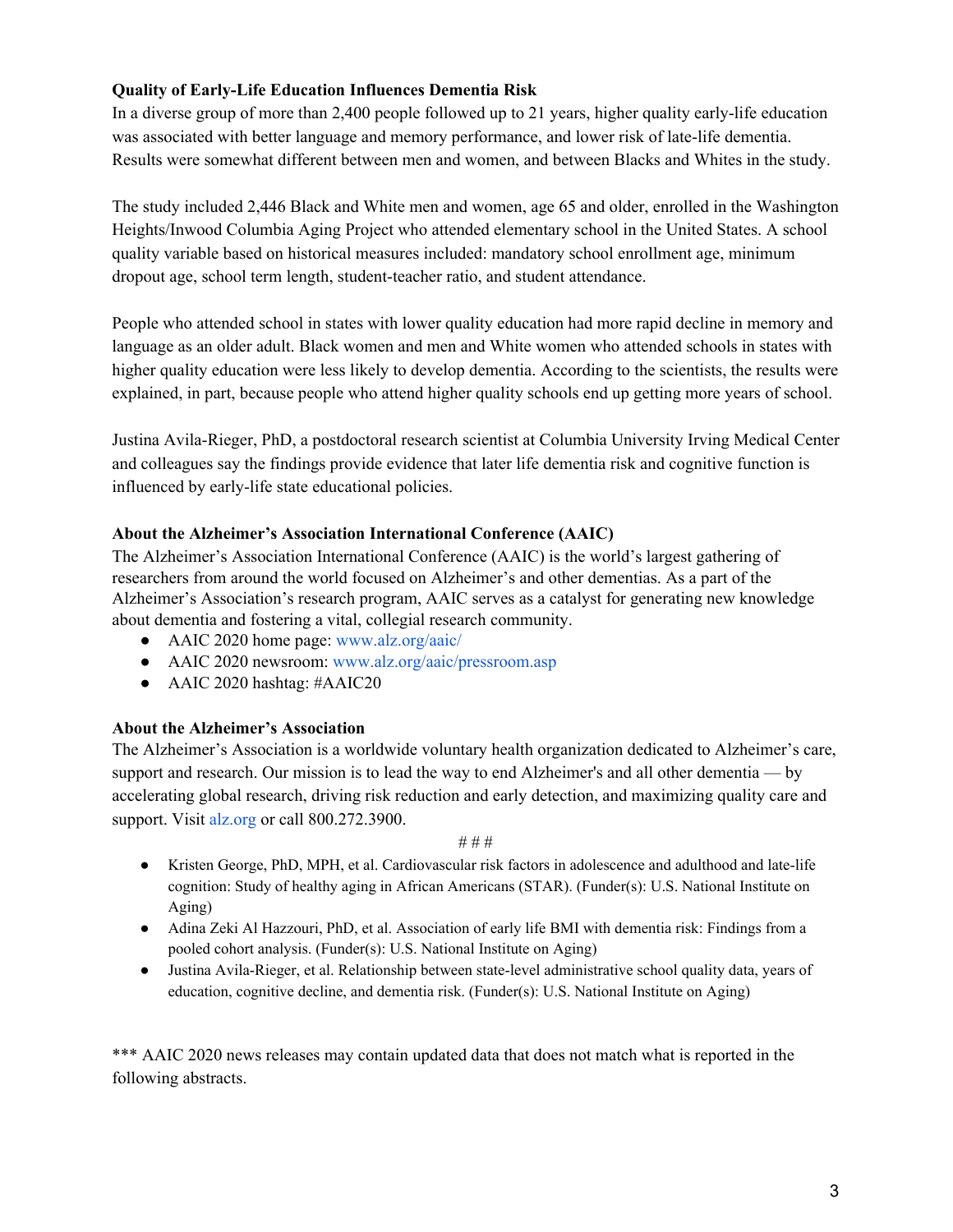## **Quality of Early-Life Education Influences Dementia Risk**

In a diverse group of more than 2,400 people followed up to 21 years, higher quality early-life education was associated with better language and memory performance, and lower risk of late-life dementia. Results were somewhat different between men and women, and between Blacks and Whites in the study.

The study included 2,446 Black and White men and women, age 65 and older, enrolled in the Washington Heights/Inwood Columbia Aging Project who attended elementary school in the United States. A school quality variable based on historical measures included: mandatory school enrollment age, minimum dropout age, school term length, student-teacher ratio, and student attendance.

People who attended school in states with lower quality education had more rapid decline in memory and language as an older adult. Black women and men and White women who attended schools in states with higher quality education were less likely to develop dementia. According to the scientists, the results were explained, in part, because people who attend higher quality schools end up getting more years of school.

Justina Avila-Rieger, PhD, a postdoctoral research scientist at Columbia University Irving Medical Center and colleagues say the findings provide evidence that later life dementia risk and cognitive function is influenced by early-life state educational policies.

### **About the Alzheimer's Association International Conference (AAIC)**

The Alzheimer's Association International Conference (AAIC) is the world's largest gathering of researchers from around the world focused on Alzheimer's and other dementias. As a part of the Alzheimer's Association's research program, AAIC serves as a catalyst for generating new knowledge about dementia and fostering a vital, collegial research community.

- AAIC 2020 home page: www.alz.org/aaic/
- AAIC 2020 newsroom: www.alz.org/aaic/pressroom.asp
- AAIC 2020 hashtag: #AAIC20

### **About the Alzheimer's Association**

The Alzheimer's Association is a worldwide voluntary health organization dedicated to Alzheimer's care, support and research. Our mission is to lead the way to end Alzheimer's and all other dementia — by accelerating global research, driving risk reduction and early detection, and maximizing quality care and support. Visit [alz.org](http://www.alz.org/) or call 800.272.3900.

#### # # #

- Kristen George, PhD, MPH, et al. Cardiovascular risk factors in adolescence and adulthood and late-life cognition: Study of healthy aging in African Americans (STAR). (Funder(s): U.S. National Institute on Aging)
- Adina Zeki Al Hazzouri, PhD, et al. Association of early life BMI with dementia risk: Findings from a pooled cohort analysis. (Funder(s): U.S. National Institute on Aging)
- Justina Avila-Rieger, et al. Relationship between state-level administrative school quality data, years of education, cognitive decline, and dementia risk. (Funder(s): U.S. National Institute on Aging)

\*\*\* AAIC 2020 news releases may contain updated data that does not match what is reported in the following abstracts.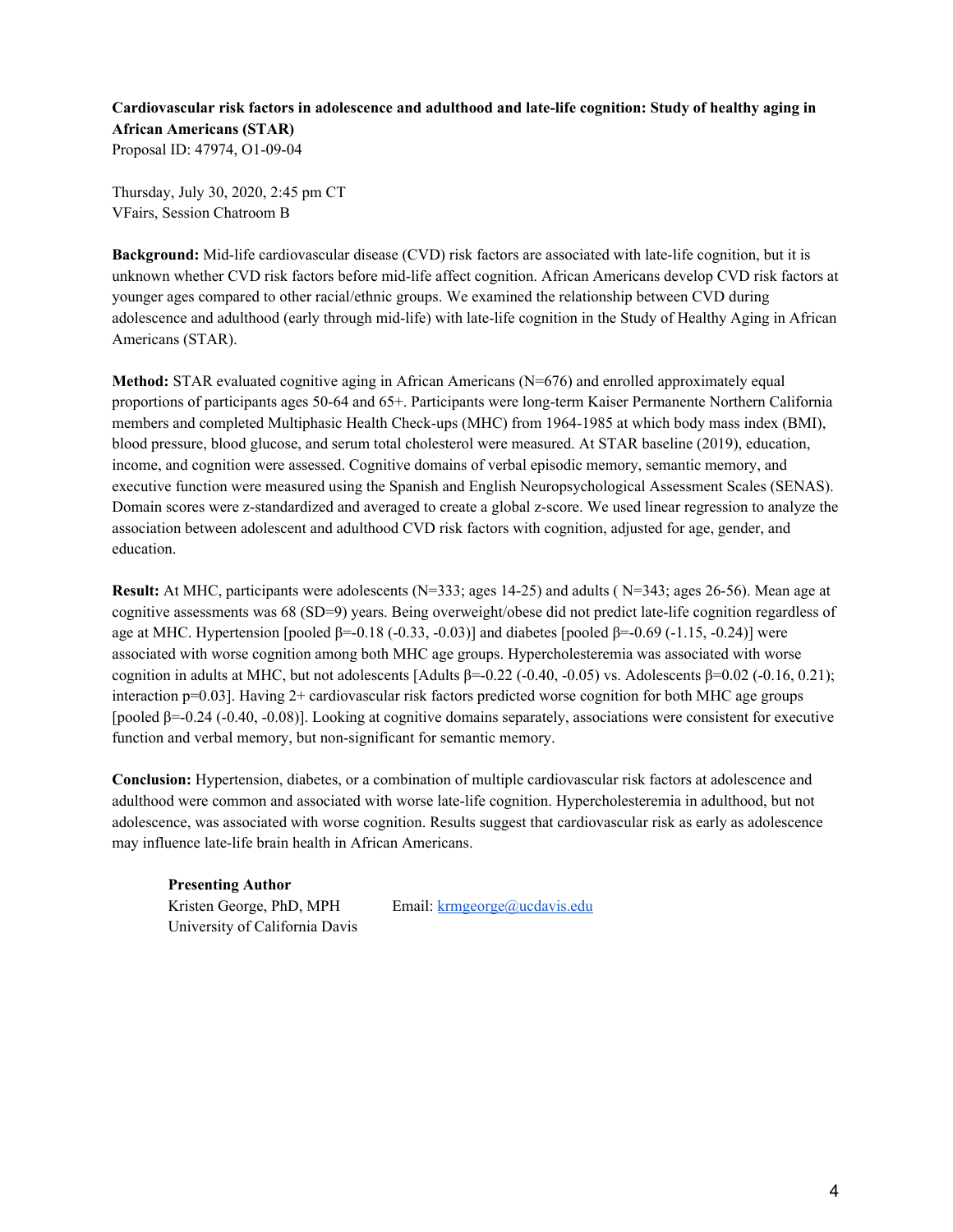**Cardiovascular risk factors in adolescence and adulthood and late-life cognition: Study of healthy aging in African Americans (STAR)** Proposal ID: 47974, O1-09-04

Thursday, July 30, 2020, 2:45 pm CT VFairs, Session Chatroom B

**Background:** Mid-life cardiovascular disease (CVD) risk factors are associated with late-life cognition, but it is unknown whether CVD risk factors before mid-life affect cognition. African Americans develop CVD risk factors at younger ages compared to other racial/ethnic groups. We examined the relationship between CVD during adolescence and adulthood (early through mid-life) with late-life cognition in the Study of Healthy Aging in African Americans (STAR).

**Method:** STAR evaluated cognitive aging in African Americans (N=676) and enrolled approximately equal proportions of participants ages 50-64 and 65+. Participants were long-term Kaiser Permanente Northern California members and completed Multiphasic Health Check-ups (MHC) from 1964-1985 at which body mass index (BMI), blood pressure, blood glucose, and serum total cholesterol were measured. At STAR baseline (2019), education, income, and cognition were assessed. Cognitive domains of verbal episodic memory, semantic memory, and executive function were measured using the Spanish and English Neuropsychological Assessment Scales (SENAS). Domain scores were z-standardized and averaged to create a global z-score. We used linear regression to analyze the association between adolescent and adulthood CVD risk factors with cognition, adjusted for age, gender, and education.

**Result:** At MHC, participants were adolescents (N=333; ages 14-25) and adults ( N=343; ages 26-56). Mean age at cognitive assessments was 68 (SD=9) years. Being overweight/obese did not predict late-life cognition regardless of age at MHC. Hypertension [pooled β=-0.18 (-0.33, -0.03)] and diabetes [pooled β=-0.69 (-1.15, -0.24)] were associated with worse cognition among both MHC age groups. Hypercholesteremia was associated with worse cognition in adults at MHC, but not adolescents  $[Adults \beta=-0.22 (-0.40, -0.05)$  vs. Adolescents  $\beta=0.02 (-0.16, 0.21)$ ; interaction p=0.03]. Having 2+ cardiovascular risk factors predicted worse cognition for both MHC age groups [pooled β=-0.24 (-0.40, -0.08)]. Looking at cognitive domains separately, associations were consistent for executive function and verbal memory, but non-significant for semantic memory.

**Conclusion:** Hypertension, diabetes, or a combination of multiple cardiovascular risk factors at adolescence and adulthood were common and associated with worse late-life cognition. Hypercholesteremia in adulthood, but not adolescence, was associated with worse cognition. Results suggest that cardiovascular risk as early as adolescence may influence late-life brain health in African Americans.

**Presenting Author** Kristen George, PhD, MPH Email: [krmgeorge@ucdavis.edu](mailto:krmgeorge@ucdavis.edu) University of California Davis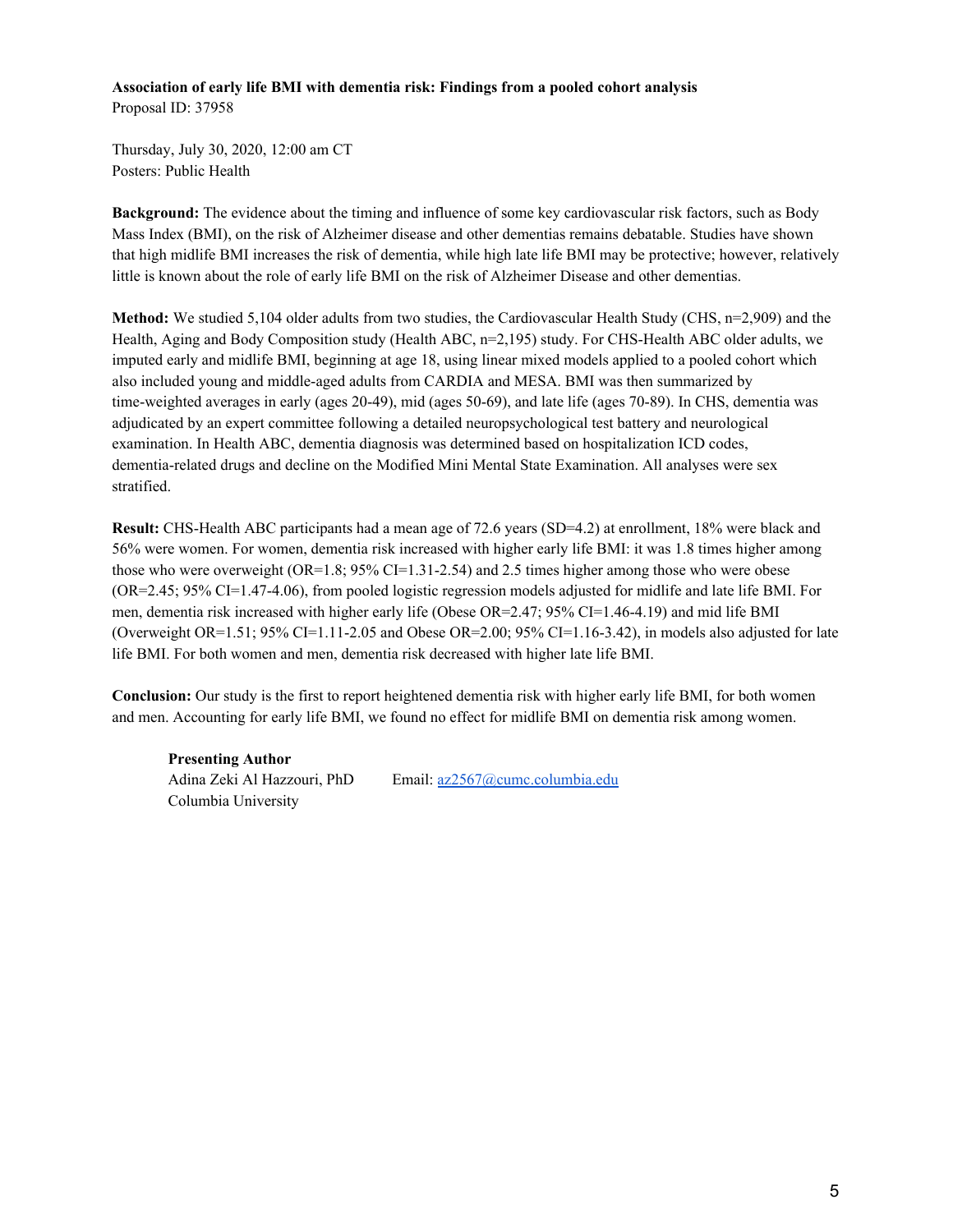#### **Association of early life BMI with dementia risk: Findings from a pooled cohort analysis** Proposal ID: 37958

Thursday, July 30, 2020, 12:00 am CT Posters: Public Health

**Background:** The evidence about the timing and influence of some key cardiovascular risk factors, such as Body Mass Index (BMI), on the risk of Alzheimer disease and other dementias remains debatable. Studies have shown that high midlife BMI increases the risk of dementia, while high late life BMI may be protective; however, relatively little is known about the role of early life BMI on the risk of Alzheimer Disease and other dementias.

**Method:** We studied 5,104 older adults from two studies, the Cardiovascular Health Study (CHS, n=2,909) and the Health, Aging and Body Composition study (Health ABC, n=2,195) study. For CHS-Health ABC older adults, we imputed early and midlife BMI, beginning at age 18, using linear mixed models applied to a pooled cohort which also included young and middle-aged adults from CARDIA and MESA. BMI was then summarized by time-weighted averages in early (ages 20-49), mid (ages 50-69), and late life (ages 70-89). In CHS, dementia was adjudicated by an expert committee following a detailed neuropsychological test battery and neurological examination. In Health ABC, dementia diagnosis was determined based on hospitalization ICD codes, dementia-related drugs and decline on the Modified Mini Mental State Examination. All analyses were sex stratified.

**Result:** CHS-Health ABC participants had a mean age of 72.6 years (SD=4.2) at enrollment, 18% were black and 56% were women. For women, dementia risk increased with higher early life BMI: it was 1.8 times higher among those who were overweight  $(OR=1.8; 95\% CI=1.31-2.54)$  and 2.5 times higher among those who were obese (OR=2.45; 95% CI=1.47-4.06), from pooled logistic regression models adjusted for midlife and late life BMI. For men, dementia risk increased with higher early life (Obese OR=2.47; 95% CI=1.46-4.19) and mid life BMI (Overweight OR=1.51; 95% CI=1.11-2.05 and Obese OR=2.00; 95% CI=1.16-3.42), in models also adjusted for late life BMI. For both women and men, dementia risk decreased with higher late life BMI.

**Conclusion:** Our study is the first to report heightened dementia risk with higher early life BMI, for both women and men. Accounting for early life BMI, we found no effect for midlife BMI on dementia risk among women.

**Presenting Author** Columbia University

Adina Zeki Al Hazzouri, PhD Email: [az2567@cumc.columbia.edu](mailto:az2567@cumc.columbia.edu)